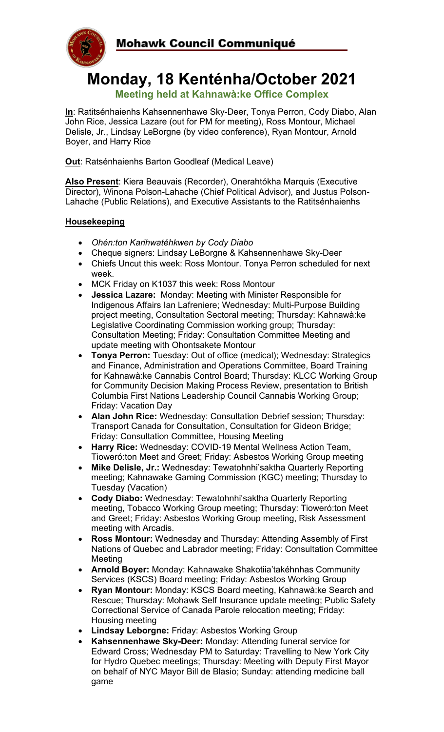

# **Monday, 18 Kenténha/October 2021**

**Meeting held at Kahnawà:ke Office Complex**

**In**: Ratitsénhaienhs Kahsennenhawe Sky-Deer, Tonya Perron, Cody Diabo, Alan John Rice, Jessica Lazare (out for PM for meeting), Ross Montour, Michael Delisle, Jr., Lindsay LeBorgne (by video conference), Ryan Montour, Arnold Boyer, and Harry Rice

**Out**: Ratsénhaienhs Barton Goodleaf (Medical Leave)

**Also Present**: Kiera Beauvais (Recorder), Onerahtókha Marquis (Executive Director), Winona Polson-Lahache (Chief Political Advisor), and Justus Polson-Lahache (Public Relations), and Executive Assistants to the Ratitsénhaienhs

# **Housekeeping**

- *Ohén:ton Karihwatéhkwen by Cody Diabo*
- Cheque signers: Lindsay LeBorgne & Kahsennenhawe Sky-Deer
- Chiefs Uncut this week: Ross Montour. Tonya Perron scheduled for next week.
- MCK Friday on K1037 this week: Ross Montour
- **Jessica Lazare:** Monday: Meeting with Minister Responsible for Indigenous Affairs Ian Lafreniere; Wednesday: Multi-Purpose Building project meeting, Consultation Sectoral meeting; Thursday: Kahnawà:ke Legislative Coordinating Commission working group; Thursday: Consultation Meeting; Friday: Consultation Committee Meeting and update meeting with Ohontsakete Montour
- **Tonya Perron:** Tuesday: Out of office (medical); Wednesday: Strategics and Finance, Administration and Operations Committee, Board Training for Kahnawà:ke Cannabis Control Board; Thursday: KLCC Working Group for Community Decision Making Process Review, presentation to British Columbia First Nations Leadership Council Cannabis Working Group; Friday: Vacation Day
- **Alan John Rice:** Wednesday: Consultation Debrief session; Thursday: Transport Canada for Consultation, Consultation for Gideon Bridge; Friday: Consultation Committee, Housing Meeting
- **Harry Rice:** Wednesday: COVID-19 Mental Wellness Action Team, Tioweró:ton Meet and Greet; Friday: Asbestos Working Group meeting
- **Mike Delisle, Jr.:** Wednesday: Tewatohnhi'saktha Quarterly Reporting meeting; Kahnawake Gaming Commission (KGC) meeting; Thursday to Tuesday (Vacation)
- **Cody Diabo:** Wednesday: Tewatohnhi'saktha Quarterly Reporting meeting, Tobacco Working Group meeting; Thursday: Tioweró:ton Meet and Greet; Friday: Asbestos Working Group meeting, Risk Assessment meeting with Arcadis.
- **Ross Montour:** Wednesday and Thursday: Attending Assembly of First Nations of Quebec and Labrador meeting; Friday: Consultation Committee Meeting
- **Arnold Boyer:** Monday: Kahnawake Shakotiia'takéhnhas Community Services (KSCS) Board meeting; Friday: Asbestos Working Group
- **Ryan Montour:** Monday: KSCS Board meeting, Kahnawà:ke Search and Rescue; Thursday: Mohawk Self Insurance update meeting; Public Safety Correctional Service of Canada Parole relocation meeting; Friday: Housing meeting
- **Lindsay Leborgne:** Friday: Asbestos Working Group
- **Kahsennenhawe Sky-Deer:** Monday: Attending funeral service for Edward Cross; Wednesday PM to Saturday: Travelling to New York City for Hydro Quebec meetings; Thursday: Meeting with Deputy First Mayor on behalf of NYC Mayor Bill de Blasio; Sunday: attending medicine ball game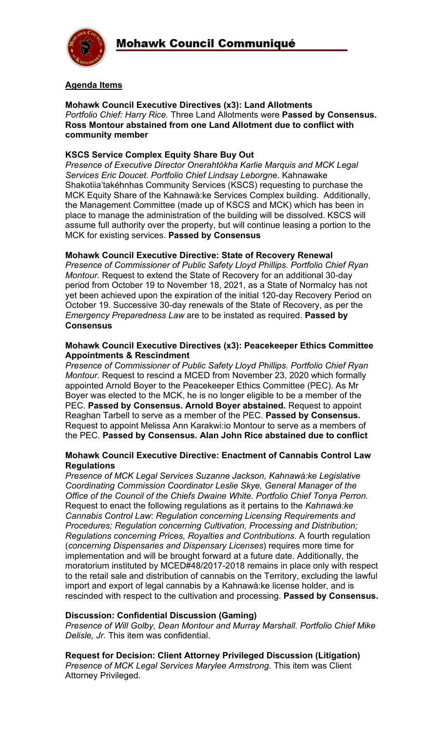

# **Agenda Items**

#### **Mohawk Council Executive Directives (x3): Land Allotments** *Portfolio Chief: Harry Rice.* Three Land Allotments were **Passed by Consensus. Ross Montour abstained from one Land Allotment due to conflict with community member**

# **KSCS Service Complex Equity Share Buy Out**

*Presence of Executive Director Onerahtókha Karlie Marquis and MCK Legal Services Eric Doucet. Portfolio Chief Lindsay Leborgne.* Kahnawake Shakotiia'takéhnhas Community Services (KSCS) requesting to purchase the MCK Equity Share of the Kahnawà:ke Services Complex building. Additionally, the Management Committee (made up of KSCS and MCK) which has been in place to manage the administration of the building will be dissolved. KSCS will assume full authority over the property, but will continue leasing a portion to the MCK for existing services. **Passed by Consensus**

#### **Mohawk Council Executive Directive: State of Recovery Renewal**

*Presence of Commissioner of Public Safety Lloyd Phillips. Portfolio Chief Ryan Montour.* Request to extend the State of Recovery for an additional 30-day period from October 19 to November 18, 2021, as a State of Normalcy has not yet been achieved upon the expiration of the initial 120-day Recovery Period on October 19. Successive 30-day renewals of the State of Recovery, as per the *Emergency Preparedness Law* are to be instated as required. **Passed by Consensus**

#### **Mohawk Council Executive Directives (x3): Peacekeeper Ethics Committee Appointments & Rescindment**

*Presence of Commissioner of Public Safety Lloyd Phillips. Portfolio Chief Ryan Montour.* Request to rescind a MCED from November 23, 2020 which formally appointed Arnold Boyer to the Peacekeeper Ethics Committee (PEC). As Mr Boyer was elected to the MCK, he is no longer eligible to be a member of the PEC. **Passed by Consensus. Arnold Boyer abstained.** Request to appoint Reaghan Tarbell to serve as a member of the PEC. **Passed by Consensus.**  Request to appoint Melissa Ann Karakwi:io Montour to serve as a members of the PEC. **Passed by Consensus. Alan John Rice abstained due to conflict**

#### **Mohawk Council Executive Directive: Enactment of Cannabis Control Law Regulations**

*Presence of MCK Legal Services Suzanne Jackson, Kahnawà:ke Legislative Coordinating Commission Coordinator Leslie Skye, General Manager of the Office of the Council of the Chiefs Dwaine White. Portfolio Chief Tonya Perron.* Request to enact the following regulations as it pertains to the *Kahnawà:ke Cannabis Control Law*: *Regulation concerning Licensing Requirements and Procedures; Regulation concerning Cultivation, Processing and Distribution; Regulations concerning Prices, Royalties and Contributions*. A fourth regulation (*concerning Dispensaries and Dispensary Licenses*) requires more time for implementation and will be brought forward at a future date. Additionally, the moratorium instituted by MCED#48/2017-2018 remains in place only with respect to the retail sale and distribution of cannabis on the Territory, excluding the lawful import and export of legal cannabis by a Kahnawà:ke license holder, and is rescinded with respect to the cultivation and processing. **Passed by Consensus.**

#### **Discussion: Confidential Discussion (Gaming)**

*Presence of Will Golby, Dean Montour and Murray Marshall. Portfolio Chief Mike Delisle, Jr.* This item was confidential.

**Request for Decision: Client Attorney Privileged Discussion (Litigation)** *Presence of MCK Legal Services Marylee Armstrong.* This item was Client Attorney Privileged.